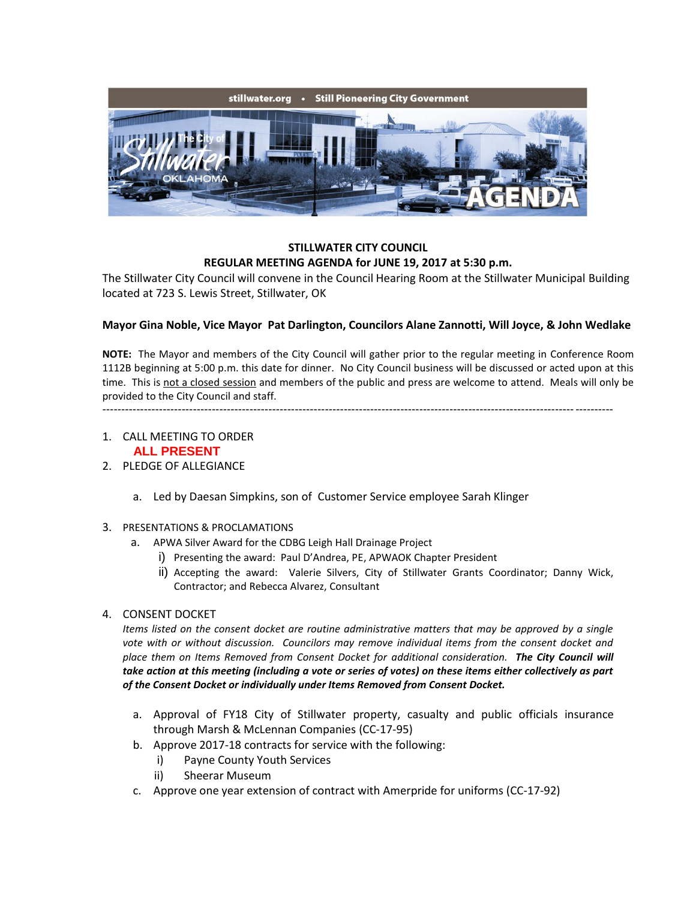

### **STILLWATER CITY COUNCIL REGULAR MEETING AGENDA for JUNE 19, 2017 at 5:30 p.m.**

The Stillwater City Council will convene in the Council Hearing Room at the Stillwater Municipal Building located at 723 S. Lewis Street, Stillwater, OK

# **Mayor Gina Noble, Vice Mayor Pat Darlington, Councilors Alane Zannotti, Will Joyce, & John Wedlake**

**NOTE:** The Mayor and members of the City Council will gather prior to the regular meeting in Conference Room 1112B beginning at 5:00 p.m. this date for dinner. No City Council business will be discussed or acted upon at this time. This is not a closed session and members of the public and press are welcome to attend. Meals will only be provided to the City Council and staff.

---------------------------------------------------------------------------------------------------------------------------------------

- 1. CALL MEETING TO ORDER **ALL PRESENT**
- 2. PLEDGE OF ALLEGIANCE
	- a. Led by Daesan Simpkins, son of Customer Service employee Sarah Klinger
- 3. PRESENTATIONS & PROCLAMATIONS
	- a. APWA Silver Award for the CDBG Leigh Hall Drainage Project
		- i) Presenting the award: Paul D'Andrea, PE, APWAOK Chapter President
		- ii) Accepting the award: Valerie Silvers, City of Stillwater Grants Coordinator; Danny Wick, Contractor; and Rebecca Alvarez, Consultant
- 4. CONSENT DOCKET

*Items listed on the consent docket are routine administrative matters that may be approved by a single vote with or without discussion. Councilors may remove individual items from the consent docket and place them on Items Removed from Consent Docket for additional consideration. The City Council will take action at this meeting (including a vote or series of votes) on these items either collectively as part of the Consent Docket or individually under Items Removed from Consent Docket.*

- a. Approval of FY18 City of Stillwater property, casualty and public officials insurance through Marsh & McLennan Companies (CC-17-95)
- b. Approve 2017-18 contracts for service with the following:
	- i) Payne County Youth Services
	- ii) Sheerar Museum
- c. Approve one year extension of contract with Amerpride for uniforms (CC-17-92)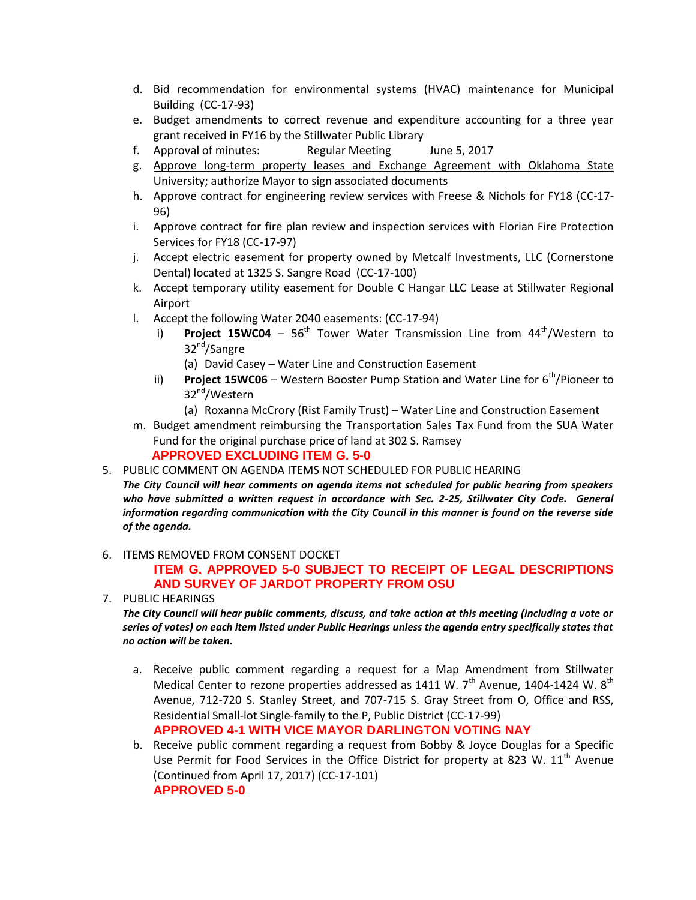- d. Bid recommendation for environmental systems (HVAC) maintenance for Municipal Building (CC-17-93)
- e. Budget amendments to correct revenue and expenditure accounting for a three year grant received in FY16 by the Stillwater Public Library
- f. Approval of minutes: Regular Meeting June 5, 2017
- g. Approve long-term property leases and Exchange Agreement with Oklahoma State University; authorize Mayor to sign associated documents
- h. Approve contract for engineering review services with Freese & Nichols for FY18 (CC-17- 96)
- i. Approve contract for fire plan review and inspection services with Florian Fire Protection Services for FY18 (CC-17-97)
- j. Accept electric easement for property owned by Metcalf Investments, LLC (Cornerstone Dental) located at 1325 S. Sangre Road (CC-17-100)
- k. Accept temporary utility easement for Double C Hangar LLC Lease at Stillwater Regional Airport
- l. Accept the following Water 2040 easements: (CC-17-94)
	- i) **Project 15WC04** 56<sup>th</sup> Tower Water Transmission Line from 44<sup>th</sup>/Western to 32<sup>nd</sup>/Sangre
		- (a) David Casey Water Line and Construction Easement
	- ii) **Project 15WC06** Western Booster Pump Station and Water Line for 6<sup>th</sup>/Pioneer to 32<sup>nd</sup>/Western
		- (a) Roxanna McCrory (Rist Family Trust) Water Line and Construction Easement
- m. Budget amendment reimbursing the Transportation Sales Tax Fund from the SUA Water Fund for the original purchase price of land at 302 S. Ramsey **APPROVED EXCLUDING ITEM G. 5-0**
- 5. PUBLIC COMMENT ON AGENDA ITEMS NOT SCHEDULED FOR PUBLIC HEARING

*The City Council will hear comments on agenda items not scheduled for public hearing from speakers*  who have submitted a written request in accordance with Sec. 2-25, Stillwater City Code. General *information regarding communication with the City Council in this manner is found on the reverse side of the agenda.*

6. ITEMS REMOVED FROM CONSENT DOCKET

# **ITEM G. APPROVED 5-0 SUBJECT TO RECEIPT OF LEGAL DESCRIPTIONS AND SURVEY OF JARDOT PROPERTY FROM OSU**

7. PUBLIC HEARINGS

*The City Council will hear public comments, discuss, and take action at this meeting (including a vote or series of votes) on each item listed under Public Hearings unless the agenda entry specifically states that no action will be taken.*

a. Receive public comment regarding a request for a Map Amendment from Stillwater Medical Center to rezone properties addressed as  $1411$  W.  $7<sup>th</sup>$  Avenue,  $1404-1424$  W.  $8<sup>th</sup>$ Avenue, 712-720 S. Stanley Street, and 707-715 S. Gray Street from O, Office and RSS, Residential Small-lot Single-family to the P, Public District (CC-17-99)

**APPROVED 4-1 WITH VICE MAYOR DARLINGTON VOTING NAY**

b. Receive public comment regarding a request from Bobby & Joyce Douglas for a Specific Use Permit for Food Services in the Office District for property at 823 W.  $11<sup>th</sup>$  Avenue (Continued from April 17, 2017) (CC-17-101) **APPROVED 5-0**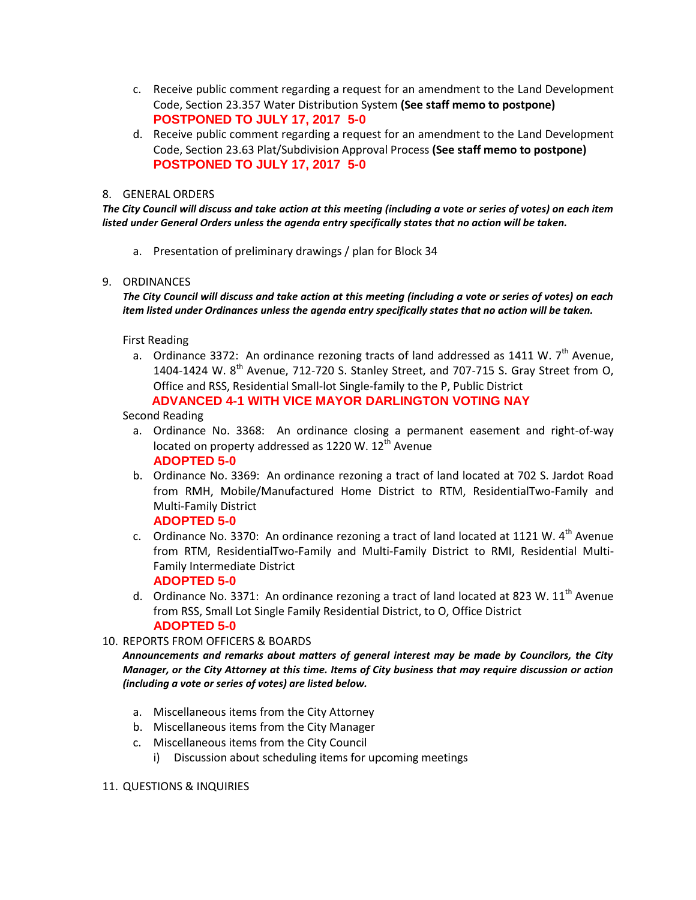- c. Receive public comment regarding a request for an amendment to the Land Development Code, Section 23.357 Water Distribution System **(See staff memo to postpone) POSTPONED TO JULY 17, 2017 5-0**
- d. Receive public comment regarding a request for an amendment to the Land Development Code, Section 23.63 Plat/Subdivision Approval Process **(See staff memo to postpone) POSTPONED TO JULY 17, 2017 5-0**

### 8. GENERAL ORDERS

*The City Council will discuss and take action at this meeting (including a vote or series of votes) on each item listed under General Orders unless the agenda entry specifically states that no action will be taken.*

a. Presentation of preliminary drawings / plan for Block 34

#### 9. ORDINANCES

*The City Council will discuss and take action at this meeting (including a vote or series of votes) on each item listed under Ordinances unless the agenda entry specifically states that no action will be taken.*

First Reading

a. Ordinance 3372: An ordinance rezoning tracts of land addressed as 1411 W.  $7<sup>th</sup>$  Avenue, 1404-1424 W. 8<sup>th</sup> Avenue, 712-720 S. Stanley Street, and 707-715 S. Gray Street from O, Office and RSS, Residential Small-lot Single-family to the P, Public District **ADVANCED 4-1 WITH VICE MAYOR DARLINGTON VOTING NAY**

#### Second Reading

- a. Ordinance No. 3368: An ordinance closing a permanent easement and right-of-way located on property addressed as 1220 W.  $12<sup>th</sup>$  Avenue **ADOPTED 5-0**
- b. Ordinance No. 3369: An ordinance rezoning a tract of land located at 702 S. Jardot Road from RMH, Mobile/Manufactured Home District to RTM, ResidentialTwo-Family and Multi-Family District

# **ADOPTED 5-0**

- c. Ordinance No. 3370: An ordinance rezoning a tract of land located at 1121 W.  $4^{\text{th}}$  Avenue from RTM, ResidentialTwo-Family and Multi-Family District to RMI, Residential Multi-Family Intermediate District **ADOPTED 5-0**
- d. Ordinance No. 3371: An ordinance rezoning a tract of land located at 823 W.  $11<sup>th</sup>$  Avenue from RSS, Small Lot Single Family Residential District, to O, Office District **ADOPTED 5-0**
- 10. REPORTS FROM OFFICERS & BOARDS

*Announcements and remarks about matters of general interest may be made by Councilors, the City Manager, or the City Attorney at this time. Items of City business that may require discussion or action (including a vote or series of votes) are listed below.*

- a. Miscellaneous items from the City Attorney
- b. Miscellaneous items from the City Manager
- c. Miscellaneous items from the City Council
	- i) Discussion about scheduling items for upcoming meetings

#### 11. QUESTIONS & INQUIRIES